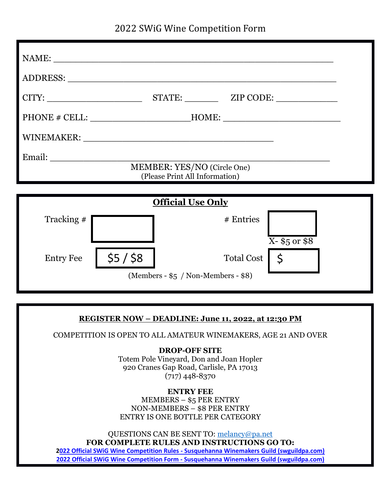2022 SWiG Wine Competition Form

|                          | PHONE # CELL: __________________________HOME: __________________________________ |  |  |
|--------------------------|----------------------------------------------------------------------------------|--|--|
|                          |                                                                                  |  |  |
|                          |                                                                                  |  |  |
|                          | MEMBER: YES/NO (Circle One)<br>(Please Print All Information)                    |  |  |
|                          |                                                                                  |  |  |
| <b>Official Use Only</b> |                                                                                  |  |  |
| Tracking $#$             | # Entries<br>$X - $5$ or \$8                                                     |  |  |
| <b>Entry Fee</b>         | <b>Total Cost</b>                                                                |  |  |

(Members - \$5 / Non-Members - \$8)

#### **REGISTER NOW – DEADLINE: June 11, 2022, at 12:30 PM**

COMPETITION IS OPEN TO ALL AMATEUR WINEMAKERS, AGE 21 AND OVER

**DROP-OFF SITE** Totem Pole Vineyard, Don and Joan Hopler 920 Cranes Gap Road, Carlisle, PA 17013 (717) 448-8370

#### **ENTRY FEE** MEMBERS – \$5 PER ENTRY NON-MEMBERS – \$8 PER ENTRY ENTRY IS ONE BOTTLE PER CATEGORY

QUESTIONS CAN BE SENT TO: [melancy@pa.net](mailto:melancy@pa.net) **FOR COMPLETE RULES AND INSTRUCTIONS GO TO:**

**2022 Official SWiG Wine Competition Rules - [Susquehanna Winemakers Guild \(swguildpa.com\)](https://swguildpa.com/2022-official-swig-wine-competition-rules/) 2022 Official SWiG Wine Competition Form - [Susquehanna Winemakers Guild \(swguildpa.com\)](https://swguildpa.com/2022-official-swig-wine-competition-form/)**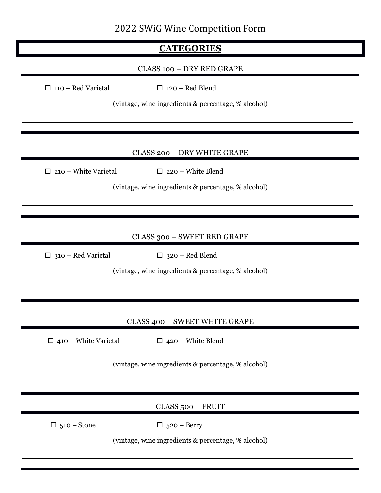# 2022 SWiG Wine Competition Form

# **CATEGORIES**

## CLASS 100 – DRY RED GRAPE

 $\Box$  110 – Red Varietal  $\Box$  120 – Red Blend

(vintage, wine ingredients & percentage, % alcohol)

### CLASS 200 – DRY WHITE GRAPE

 $\Box$  210 – White Varietal  $\Box$  220 – White Blend

(vintage, wine ingredients & percentage, % alcohol)

### CLASS 300 – SWEET RED GRAPE

 $\Box$  310 – Red Varietal  $\Box$  320 – Red Blend

(vintage, wine ingredients & percentage, % alcohol)

#### CLASS 400 – SWEET WHITE GRAPE

 $\Box$  410 – White Varietal  $\Box$  420 – White Blend

(vintage, wine ingredients & percentage, % alcohol)

### CLASS 500 – FRUIT

 $\Box$  510 – Stone  $\Box$  520 – Berry

(vintage, wine ingredients & percentage, % alcohol)